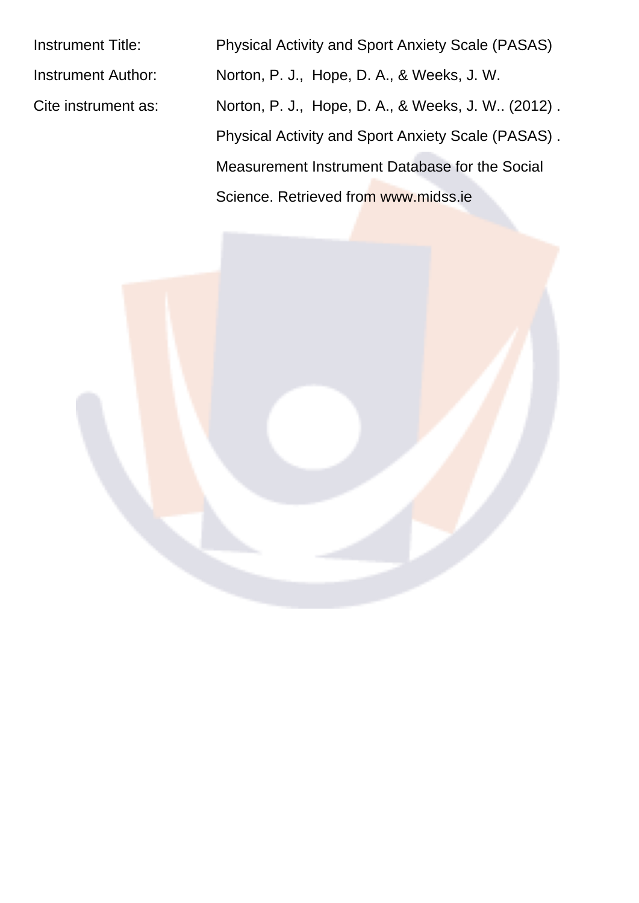Instrument Title: Physical Activity and Sport Anxiety Scale (PASAS) Instrument Author: Norton, P. J., Hope, D. A., & Weeks, J. W. Cite instrument as: Norton, P. J., Hope, D. A., & Weeks, J. W.. (2012). Physical Activity and Sport Anxiety Scale (PASAS) . Measurement Instrument Database for the Social Science. Retrieved from www.midss.ie

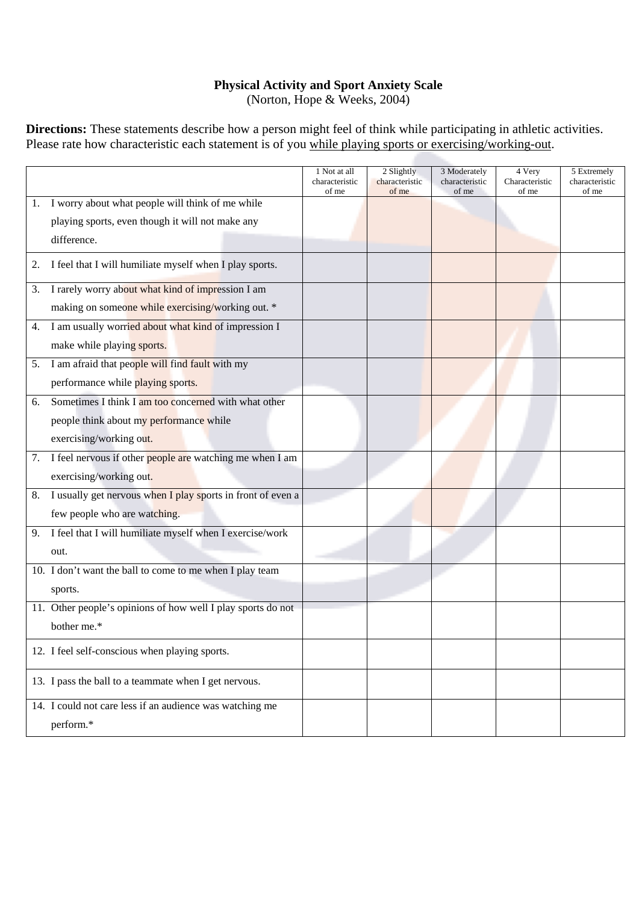## **Physical Activity and Sport Anxiety Scale**

(Norton, Hope & Weeks, 2004)

**Directions:** These statements describe how a person might feel of think while participating in athletic activities. Please rate how characteristic each statement is of you while playing sports or exercising/working-out.

|    |                                                              | 1 Not at all<br>characteristic | 2 Slightly<br>characteristic | 3 Moderately<br>characteristic | 4 Very<br>Characteristic | 5 Extremely<br>characteristic |
|----|--------------------------------------------------------------|--------------------------------|------------------------------|--------------------------------|--------------------------|-------------------------------|
| 1. | I worry about what people will think of me while             | of me                          | of me                        | of me                          | of me                    | of me                         |
|    |                                                              |                                |                              |                                |                          |                               |
|    | playing sports, even though it will not make any             |                                |                              |                                |                          |                               |
|    | difference.                                                  |                                |                              |                                |                          |                               |
| 2. | I feel that I will humiliate myself when I play sports.      |                                |                              |                                |                          |                               |
| 3. | I rarely worry about what kind of impression I am            |                                |                              |                                |                          |                               |
|    | making on someone while exercising/working out. *            |                                |                              |                                |                          |                               |
| 4. | I am usually worried about what kind of impression I         |                                |                              |                                |                          |                               |
|    | make while playing sports.                                   |                                |                              |                                |                          |                               |
| 5. | I am afraid that people will find fault with my              |                                |                              |                                |                          |                               |
|    | performance while playing sports.                            |                                |                              |                                |                          |                               |
| 6. | Sometimes I think I am too concerned with what other         |                                |                              |                                |                          |                               |
|    | people think about my performance while                      |                                |                              |                                |                          |                               |
|    | exercising/working out.                                      |                                |                              |                                |                          |                               |
| 7. | I feel nervous if other people are watching me when I am     |                                |                              |                                |                          |                               |
|    | exercising/working out.                                      |                                |                              |                                |                          |                               |
| 8. | I usually get nervous when I play sports in front of even a  |                                |                              |                                |                          |                               |
|    | few people who are watching.                                 |                                |                              |                                |                          |                               |
| 9. | I feel that I will humiliate myself when I exercise/work     |                                |                              |                                |                          |                               |
|    | out.                                                         |                                |                              |                                |                          |                               |
|    | 10. I don't want the ball to come to me when I play team     |                                |                              |                                |                          |                               |
|    | sports.                                                      |                                |                              |                                |                          |                               |
|    | 11. Other people's opinions of how well I play sports do not |                                |                              |                                |                          |                               |
|    | bother me.*                                                  |                                |                              |                                |                          |                               |
|    | 12. I feel self-conscious when playing sports.               |                                |                              |                                |                          |                               |
|    | 13. I pass the ball to a teammate when I get nervous.        |                                |                              |                                |                          |                               |
|    | 14. I could not care less if an audience was watching me     |                                |                              |                                |                          |                               |
|    | perform.*                                                    |                                |                              |                                |                          |                               |